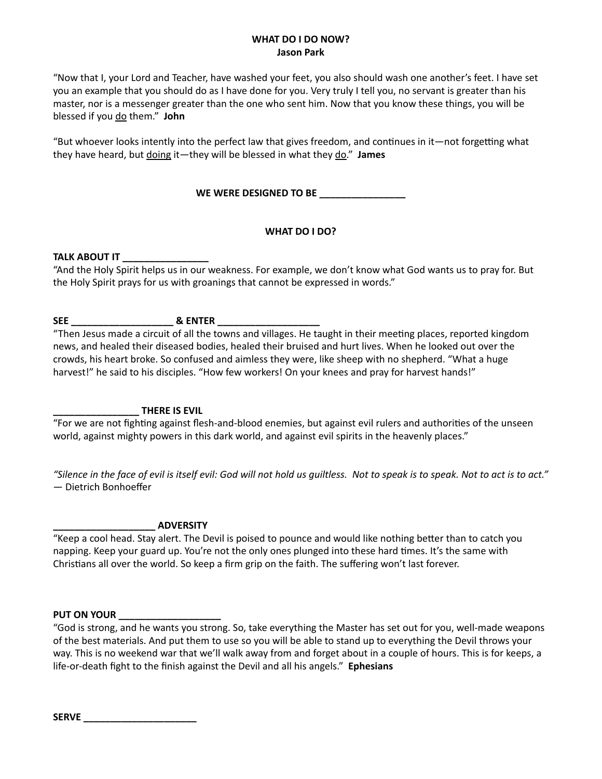### **WHAT DO I DO NOW? Jason Park**

"Now that I, your Lord and Teacher, have washed your feet, you also should wash one another's feet. I have set you an example that you should do as I have done for you. Very truly I tell you, no servant is greater than his master, nor is a messenger greater than the one who sent him. Now that you know these things, you will be blessed if you do them." **John**

"But whoever looks intently into the perfect law that gives freedom, and continues in it—not forgetting what they have heard, but doing it—they will be blessed in what they do." **James**

WE WERE DESIGNED TO BE **WE** 

## **WHAT DO I DO?**

### **TALK ABOUT IT \_\_\_\_\_\_\_\_\_\_\_\_\_\_\_\_**

"And the Holy Spirit helps us in our weakness. For example, we don't know what God wants us to pray for. But the Holy Spirit prays for us with groanings that cannot be expressed in words."

# **SEE \_\_\_\_\_\_\_\_\_\_\_\_\_\_\_\_\_\_\_ & ENTER \_\_\_\_\_\_\_\_\_\_\_\_\_\_\_\_\_\_\_**

"Then Jesus made a circuit of all the towns and villages. He taught in their meeting places, reported kingdom news, and healed their diseased bodies, healed their bruised and hurt lives. When he looked out over the crowds, his heart broke. So confused and aimless they were, like sheep with no shepherd. "What a huge harvest!" he said to his disciples. "How few workers! On your knees and pray for harvest hands!"

## **\_\_\_\_\_\_\_\_\_\_\_\_\_\_\_\_ THERE IS EVIL**

"For we are not fighting against flesh-and-blood enemies, but against evil rulers and authorities of the unseen world, against mighty powers in this dark world, and against evil spirits in the heavenly places."

*"Silence in the face of evil is itself evil: God will not hold us guiltless. Not to speak is to speak. Not to act is to act."* ― Dietrich Bonhoeffer

### **\_\_\_\_\_\_\_\_\_\_\_\_\_\_\_\_\_\_\_ ADVERSITY**

"Keep a cool head. Stay alert. The Devil is poised to pounce and would like nothing better than to catch you napping. Keep your guard up. You're not the only ones plunged into these hard times. It's the same with Christians all over the world. So keep a firm grip on the faith. The suffering won't last forever.

### **PUT ON YOUR \_\_\_\_\_\_\_\_\_\_\_\_\_\_\_\_\_\_\_**

"God is strong, and he wants you strong. So, take everything the Master has set out for you, well-made weapons of the best materials. And put them to use so you will be able to stand up to everything the Devil throws your way. This is no weekend war that we'll walk away from and forget about in a couple of hours. This is for keeps, a life-or-death fight to the finish against the Devil and all his angels." **Ephesians**

**SERVE \_\_\_\_\_\_\_\_\_\_\_\_\_\_\_\_\_\_\_\_\_**